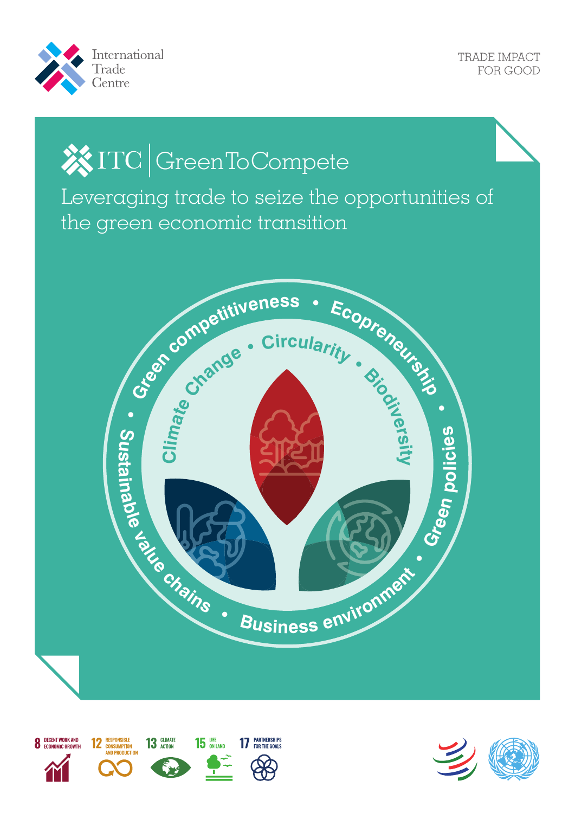

# **※ITC GreenToCompete**

Leveraging trade to seize the opportunities of the green economic transition